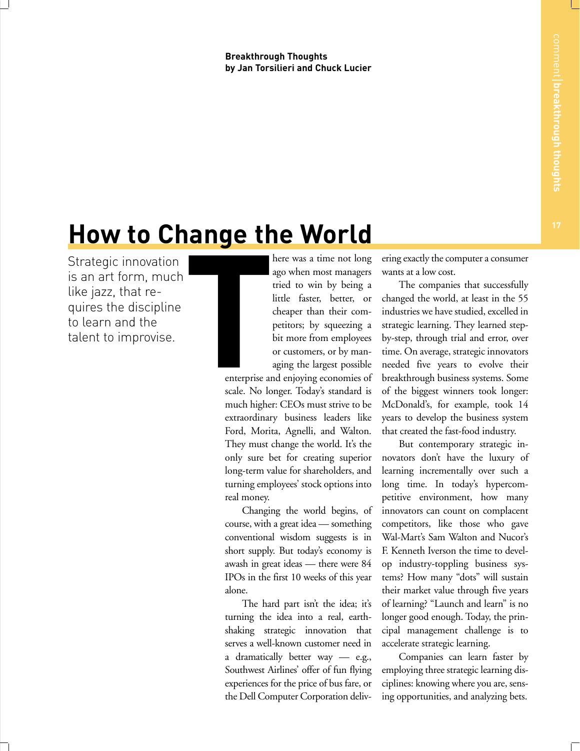**Breakthrough Thoughts by Jan Torsilieri and Chuck Lucier**

## **How to Change the World**

Strategic innovation is an art form, much like jazz, that requires the discipline to learn and the talent to improvise.

here was a time not long ago when most managers tried to win by being a little faster, better, or cheaper than their competitors; by squeezing a bit more from employees or customers, or by managing the largest possible

enterprise and enjoying economies of scale. No longer. Today's standard is much higher: CEOs must strive to be extraordinary business leaders like Ford, Morita, Agnelli, and Walton. They must change the world. It's the only sure bet for creating superior long-term value for shareholders, and turning employees' stock options into real money. I

> Changing the world begins, of course, with a great idea — something conventional wisdom suggests is in short supply. But today's economy is awash in great ideas — there were 84 IPOs in the first 10 weeks of this year alone.

> The hard part isn't the idea; it's turning the idea into a real, earthshaking strategic innovation that serves a well-known customer need in a dramatically better way — e.g., Southwest Airlines' offer of fun flying experiences for the price of bus fare, or the Dell Computer Corporation deliv

ering exactly the computer a consumer wants at a low cost.

The companies that successfully changed the world, at least in the 55 industries we have studied, excelled in strategic learning. They learned stepby-step, through trial and error, over time. On average, strategic innovators needed five years to evolve their breakthrough business systems. Some of the biggest winners took longer: McDonald's, for example, took 14 years to develop the business system that created the fast-food industry.

But contemporary strategic innovators don't have the luxury of learning incrementally over such a long time. In today's hypercompetitive environment, how many innovators can count on complacent competitors, like those who gave Wal-Mart's Sam Walton and Nucor's F. Kenneth Iverson the time to develop industry-toppling business systems? How many "dots" will sustain their market value through five years of learning? "Launch and learn" is no longer good enough. Today, the principal management challenge is to accelerate strategic learning.

Companies can learn faster by employing three strategic learning disciplines: knowing where you are, sensing opportunities, and analyzing bets.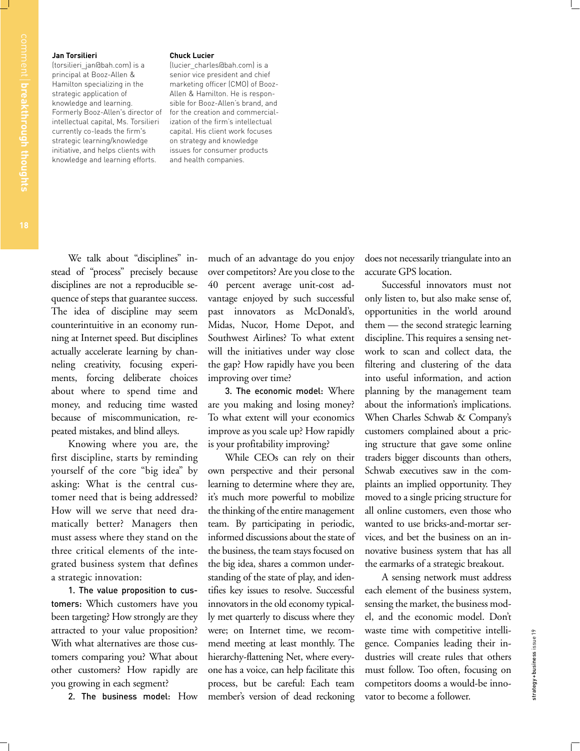## **Jan Torsilieri**

(torsilieri\_jan@bah.com) is a principal at Booz-Allen & Hamilton specializing in the strategic application of knowledge and learning. Formerly Booz-Allen's director of intellectual capital, Ms. Torsilieri currently co-leads the firm's strategic learning/knowledge initiative, and helps clients with knowledge and learning efforts.

## **Chuck Lucier**

(lucier\_charles@bah.com) is a senior vice president and chief marketing officer (CMO) of Booz-Allen & Hamilton. He is responsible for Booz-Allen's brand, and for the creation and commercialization of the firm's intellectual capital. His client work focuses on strategy and knowledge issues for consumer products and health companies.

We talk about "disciplines" instead of "process" precisely because disciplines are not a reproducible sequence of steps that guarantee success. The idea of discipline may seem counterintuitive in an economy running at Internet speed. But disciplines actually accelerate learning by channeling creativity, focusing experiments, forcing deliberate choices about where to spend time and money, and reducing time wasted because of miscommunication, repeated mistakes, and blind alleys.

Knowing where you are, the first discipline, starts by reminding yourself of the core "big idea" by asking: What is the central customer need that is being addressed? How will we serve that need dramatically better? Managers then must assess where they stand on the three critical elements of the integrated business system that defines a strategic innovation:

1. The value proposition to customers: Which customers have you been targeting? How strongly are they attracted to your value proposition? With what alternatives are those customers comparing you? What about other customers? How rapidly are you growing in each segment?

2. The business model: How

much of an advantage do you enjoy over competitors? Are you close to the 40 percent average unit-cost advantage enjoyed by such successful past innovators as McDonald's, Midas, Nucor, Home Depot, and Southwest Airlines? To what extent will the initiatives under way close the gap? How rapidly have you been improving over time?

3. The economic model: Where are you making and losing money? To what extent will your economics improve as you scale up? How rapidly is your profitability improving?

While CEOs can rely on their own perspective and their personal learning to determine where they are, it's much more powerful to mobilize the thinking of the entire management team. By participating in periodic, informed discussions about the state of the business, the team stays focused on the big idea, shares a common understanding of the state of play, and identifies key issues to resolve. Successful innovators in the old economy typically met quarterly to discuss where they were; on Internet time, we recommend meeting at least monthly. The hierarchy-flattening Net, where everyone has a voice, can help facilitate this process, but be careful: Each team member's version of dead reckoning does not necessarily triangulate into an accurate GPS location.

Successful innovators must not only listen to, but also make sense of, opportunities in the world around them — the second strategic learning discipline. This requires a sensing network to scan and collect data, the filtering and clustering of the data into useful information, and action planning by the management team about the information's implications. When Charles Schwab & Company's customers complained about a pricing structure that gave some online traders bigger discounts than others, Schwab executives saw in the complaints an implied opportunity. They moved to a single pricing structure for all online customers, even those who wanted to use bricks-and-mortar services, and bet the business on an innovative business system that has all the earmarks of a strategic breakout.

A sensing network must address each element of the business system, sensing the market, the business model, and the economic model. Don't waste time with competitive intelligence. Companies leading their industries will create rules that others must follow. Too often, focusing on competitors dooms a would-be innovator to become a follower.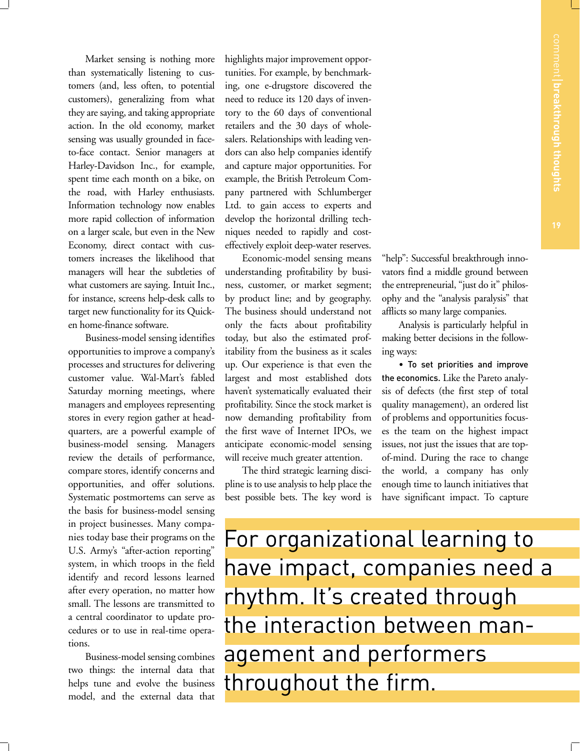Market sensing is nothing more than systematically listening to customers (and, less often, to potential customers), generalizing from what they are saying, and taking appropriate action. In the old economy, market sensing was usually grounded in faceto-face contact. Senior managers at Harley-Davidson Inc., for example, spent time each month on a bike, on the road, with Harley enthusiasts. Information technology now enables more rapid collection of information on a larger scale, but even in the New Economy, direct contact with customers increases the likelihood that managers will hear the subtleties of what customers are saying. Intuit Inc., for instance, screens help-desk calls to target new functionality for its Quicken home-finance software.

Business-model sensing identifies opportunities to improve a company's processes and structures for delivering customer value. Wal-Mart's fabled Saturday morning meetings, where managers and employees representing stores in every region gather at headquarters, are a powerful example of business-model sensing. Managers review the details of performance, compare stores, identify concerns and opportunities, and offer solutions. Systematic postmortems can serve as the basis for business-model sensing in project businesses. Many companies today base their programs on the U.S. Army's "after-action reporting" system, in which troops in the field identify and record lessons learned after every operation, no matter how small. The lessons are transmitted to a central coordinator to update procedures or to use in real-time operations.

Business-model sensing combines two things: the internal data that helps tune and evolve the business model, and the external data that

highlights major improvement opportunities. For example, by benchmarking, one e-drugstore discovered the need to reduce its 120 days of inventory to the 60 days of conventional retailers and the 30 days of wholesalers. Relationships with leading vendors can also help companies identify and capture major opportunities. For example, the British Petroleum Company partnered with Schlumberger Ltd. to gain access to experts and develop the horizontal drilling techniques needed to rapidly and costeffectively exploit deep-water reserves.

Economic-model sensing means understanding profitability by business, customer, or market segment; by product line; and by geography. The business should understand not only the facts about profitability today, but also the estimated profitability from the business as it scales up. Our experience is that even the largest and most established dots haven't systematically evaluated their profitability. Since the stock market is now demanding profitability from the first wave of Internet IPOs, we anticipate economic-model sensing will receive much greater attention.

The third strategic learning discipline is to use analysis to help place the best possible bets. The key word is

"help": Successful breakthrough innovators find a middle ground between the entrepreneurial, "just do it" philosophy and the "analysis paralysis" that afflicts so many large companies.

Analysis is particularly helpful in making better decisions in the following ways:

• To set priorities and improve the economics. Like the Pareto analysis of defects (the first step of total quality management), an ordered list of problems and opportunities focuses the team on the highest impact issues, not just the issues that are topof-mind. During the race to change the world, a company has only enough time to launch initiatives that have significant impact. To capture

For organizational learning to have impact, companies need a rhythm. It's created through the interaction between management and performers throughout the firm.